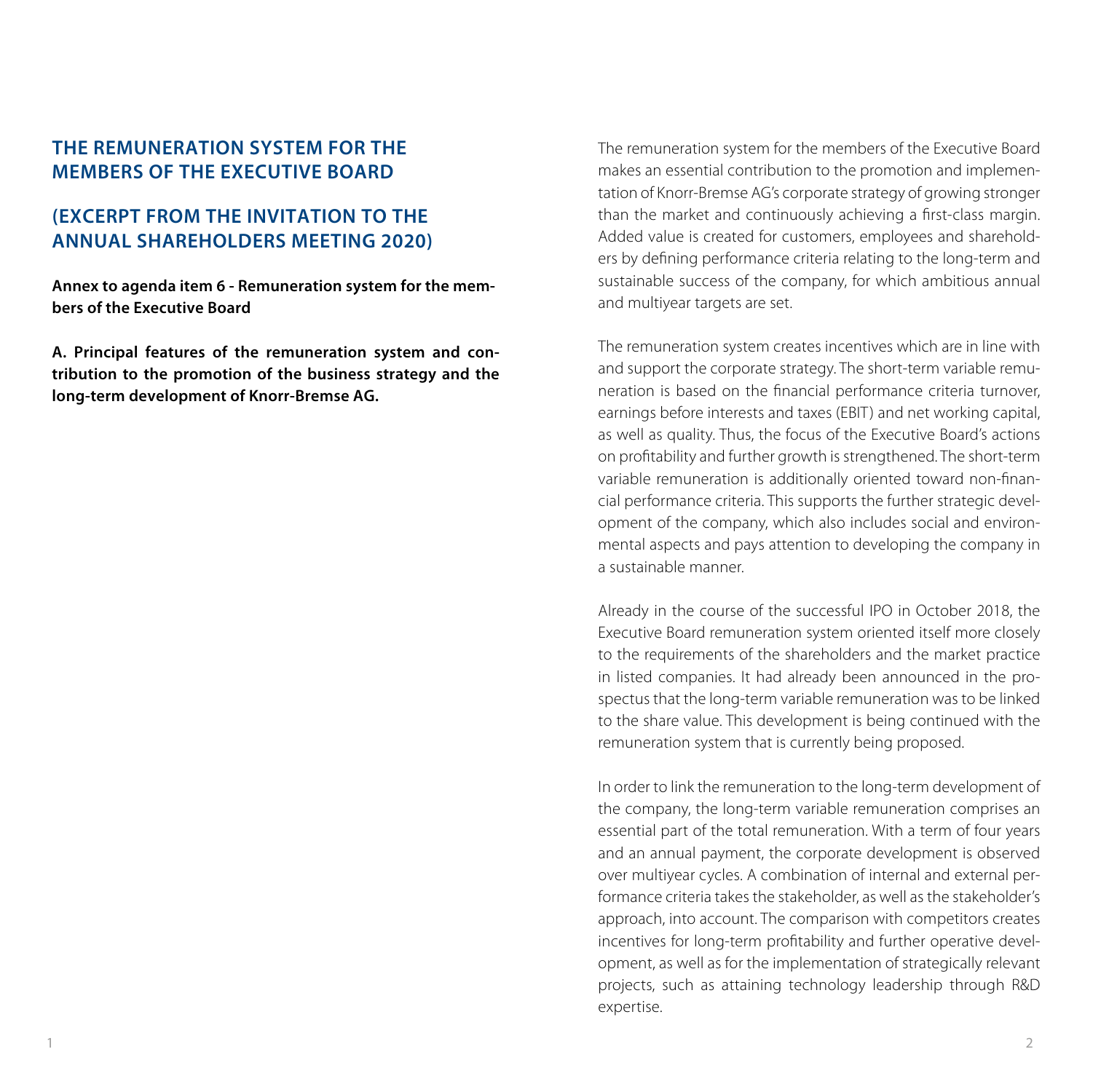## **THE REMUNERATION SYSTEM FOR THE MEMBERS OF THE EXECUTIVE BOARD**

# **(EXCERPT FROM THE INVITATION TO THE ANNUAL SHAREHOLDERS MEETING 2020)**

**Annex to agenda item 6 - Remuneration system for the members of the Executive Board**

**A. Principal features of the remuneration system and contribution to the promotion of the business strategy and the long-term development of Knorr-Bremse AG.**

The remuneration system for the members of the Executive Board makes an essential contribution to the promotion and implementation of Knorr-Bremse AG's corporate strategy of growing stronger than the market and continuously achieving a first-class margin. Added value is created for customers, employees and shareholders by defining performance criteria relating to the long-term and sustainable success of the company, for which ambitious annual and multiyear targets are set.

The remuneration system creates incentives which are in line with and support the corporate strategy. The short-term variable remuneration is based on the financial performance criteria turnover, earnings before interests and taxes (EBIT) and net working capital, as well as quality. Thus, the focus of the Executive Board's actions on profitability and further growth is strengthened. The short-term variable remuneration is additionally oriented toward non-financial performance criteria. This supports the further strategic development of the company, which also includes social and environmental aspects and pays attention to developing the company in a sustainable manner.

Already in the course of the successful IPO in October 2018, the Executive Board remuneration system oriented itself more closely to the requirements of the shareholders and the market practice in listed companies. It had already been announced in the prospectus that the long-term variable remuneration was to be linked to the share value. This development is being continued with the remuneration system that is currently being proposed.

In order to link the remuneration to the long-term development of the company, the long-term variable remuneration comprises an essential part of the total remuneration. With a term of four years and an annual payment, the corporate development is observed over multiyear cycles. A combination of internal and external performance criteria takes the stakeholder, as well as the stakeholder's approach, into account. The comparison with competitors creates incentives for long-term profitability and further operative development, as well as for the implementation of strategically relevant projects, such as attaining technology leadership through R&D expertise.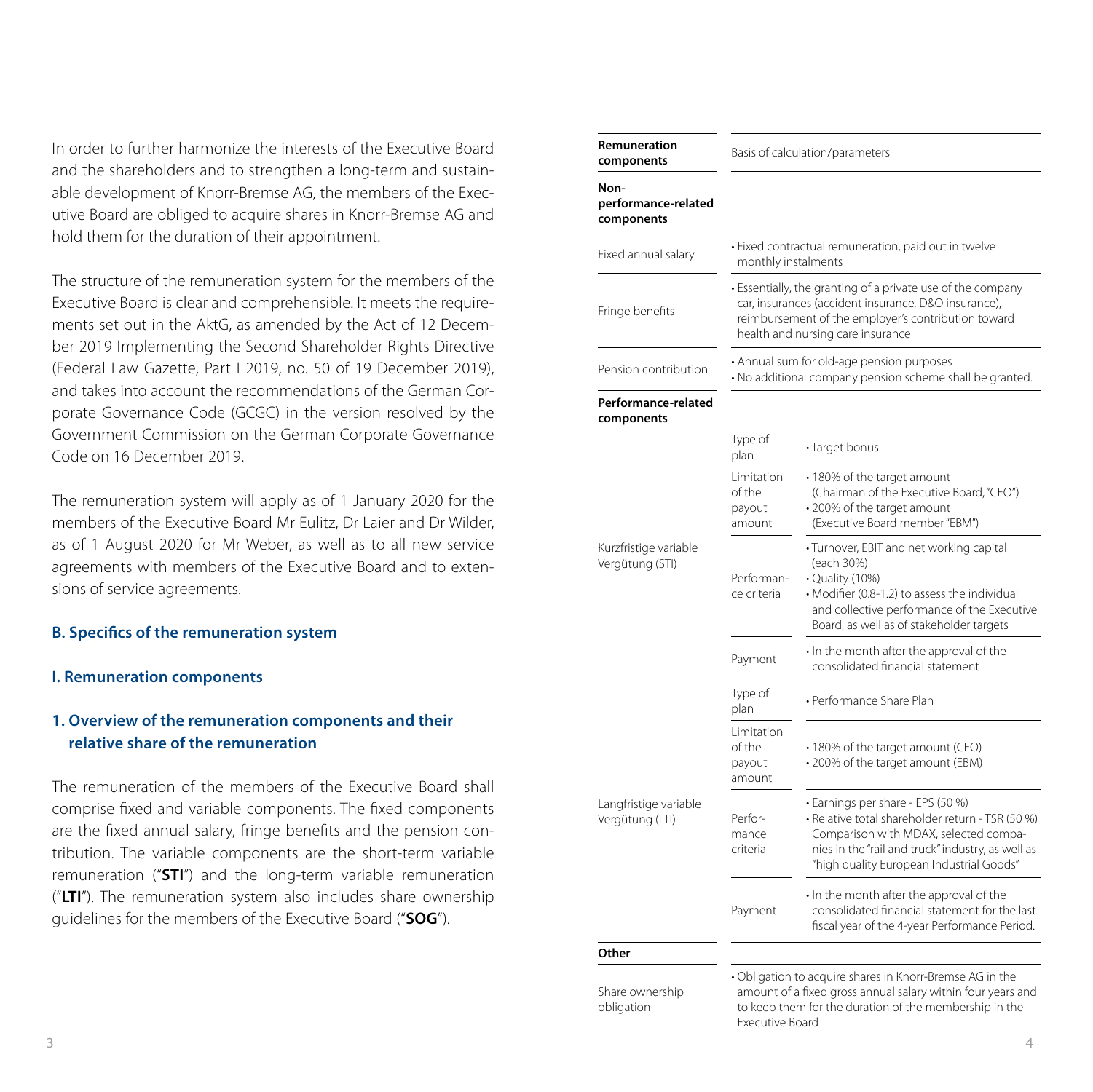#### **B. Specifics of the remuneration system**

#### **I. Remuneration components**

#### **1. Overview of the remuneration components and their relative share of the remuneration**

| In order to further harmonize the interests of the Executive Board<br>and the shareholders and to strengthen a long-term and sustain-                                                                                                                                                                                                                                                                                                                                                                                                                                                                                                                                                                                                                                                                                                                                                                                                                               | Remuneration<br>components                |                                                                                                       | Basis of calculation/parameters                                                                                                                                                                                                 |
|---------------------------------------------------------------------------------------------------------------------------------------------------------------------------------------------------------------------------------------------------------------------------------------------------------------------------------------------------------------------------------------------------------------------------------------------------------------------------------------------------------------------------------------------------------------------------------------------------------------------------------------------------------------------------------------------------------------------------------------------------------------------------------------------------------------------------------------------------------------------------------------------------------------------------------------------------------------------|-------------------------------------------|-------------------------------------------------------------------------------------------------------|---------------------------------------------------------------------------------------------------------------------------------------------------------------------------------------------------------------------------------|
| able development of Knorr-Bremse AG, the members of the Exec-<br>utive Board are obliged to acquire shares in Knorr-Bremse AG and                                                                                                                                                                                                                                                                                                                                                                                                                                                                                                                                                                                                                                                                                                                                                                                                                                   | Non-<br>performance-related<br>components |                                                                                                       |                                                                                                                                                                                                                                 |
| hold them for the duration of their appointment.                                                                                                                                                                                                                                                                                                                                                                                                                                                                                                                                                                                                                                                                                                                                                                                                                                                                                                                    | Fixed annual salary                       | monthly instalments                                                                                   | · Fixed contractual remuneration, paid out in twelve                                                                                                                                                                            |
| The structure of the remuneration system for the members of the<br>Executive Board is clear and comprehensible. It meets the require-<br>ments set out in the AktG, as amended by the Act of 12 Decem-<br>ber 2019 Implementing the Second Shareholder Rights Directive<br>(Federal Law Gazette, Part I 2019, no. 50 of 19 December 2019),<br>and takes into account the recommendations of the German Cor-<br>porate Governance Code (GCGC) in the version resolved by the                                                                                                                                                                                                                                                                                                                                                                                                                                                                                         | Fringe benefits                           |                                                                                                       | • Essentially, the granting of a private use of the company<br>car, insurances (accident insurance, D&O insurance),<br>reimbursement of the employer's contribution toward<br>health and nursing care insurance                 |
|                                                                                                                                                                                                                                                                                                                                                                                                                                                                                                                                                                                                                                                                                                                                                                                                                                                                                                                                                                     | Pension contribution                      | • Annual sum for old-age pension purposes<br>· No additional company pension scheme shall be granted. |                                                                                                                                                                                                                                 |
|                                                                                                                                                                                                                                                                                                                                                                                                                                                                                                                                                                                                                                                                                                                                                                                                                                                                                                                                                                     | Performance-related<br>components         |                                                                                                       |                                                                                                                                                                                                                                 |
| Government Commission on the German Corporate Governance<br>Code on 16 December 2019.                                                                                                                                                                                                                                                                                                                                                                                                                                                                                                                                                                                                                                                                                                                                                                                                                                                                               |                                           | Type of<br>plan                                                                                       | · Target bonus                                                                                                                                                                                                                  |
| The remuneration system will apply as of 1 January 2020 for the<br>members of the Executive Board Mr Eulitz, Dr Laier and Dr Wilder,<br>as of 1 August 2020 for Mr Weber, as well as to all new service<br>agreements with members of the Executive Board and to exten-<br>sions of service agreements.<br><b>B. Specifics of the remuneration system</b><br><b>I. Remuneration components</b><br>1. Overview of the remuneration components and their<br>relative share of the remuneration<br>The remuneration of the members of the Executive Board shall<br>comprise fixed and variable components. The fixed components<br>are the fixed annual salary, fringe benefits and the pension con-<br>tribution. The variable components are the short-term variable<br>remuneration ("STI") and the long-term variable remuneration<br>("LTI"). The remuneration system also includes share ownership<br>quidelines for the members of the Executive Board ("SOG"). | Kurzfristige variable<br>Vergütung (STI)  | Limitation<br>of the<br>payout<br>amount                                                              | • 180% of the target amount<br>(Chairman of the Executive Board, "CEO")<br>• 200% of the target amount<br>(Executive Board member "EBM")                                                                                        |
|                                                                                                                                                                                                                                                                                                                                                                                                                                                                                                                                                                                                                                                                                                                                                                                                                                                                                                                                                                     |                                           | Performan-<br>ce criteria                                                                             | • Turnover, EBIT and net working capital<br>(each 30%)<br>• Quality (10%)<br>• Modifier (0.8-1.2) to assess the individual<br>and collective performance of the Executive<br>Board, as well as of stakeholder targets           |
|                                                                                                                                                                                                                                                                                                                                                                                                                                                                                                                                                                                                                                                                                                                                                                                                                                                                                                                                                                     |                                           | Payment                                                                                               | . In the month after the approval of the<br>consolidated financial statement                                                                                                                                                    |
|                                                                                                                                                                                                                                                                                                                                                                                                                                                                                                                                                                                                                                                                                                                                                                                                                                                                                                                                                                     |                                           | Type of<br>plan                                                                                       | • Performance Share Plan                                                                                                                                                                                                        |
|                                                                                                                                                                                                                                                                                                                                                                                                                                                                                                                                                                                                                                                                                                                                                                                                                                                                                                                                                                     | Langfristige variable<br>Vergütung (LTI)  | Limitation<br>of the<br>payout<br>amount                                                              | • 180% of the target amount (CEO)<br>• 200% of the target amount (EBM)                                                                                                                                                          |
|                                                                                                                                                                                                                                                                                                                                                                                                                                                                                                                                                                                                                                                                                                                                                                                                                                                                                                                                                                     |                                           | Perfor-<br>mance<br>criteria                                                                          | • Earnings per share - EPS (50 %)<br>· Relative total shareholder return - TSR (50 %)<br>Comparison with MDAX, selected compa-<br>nies in the "rail and truck" industry, as well as<br>"high quality European Industrial Goods" |
|                                                                                                                                                                                                                                                                                                                                                                                                                                                                                                                                                                                                                                                                                                                                                                                                                                                                                                                                                                     |                                           | Payment                                                                                               | . In the month after the approval of the<br>consolidated financial statement for the last<br>fiscal year of the 4-year Performance Period.                                                                                      |
|                                                                                                                                                                                                                                                                                                                                                                                                                                                                                                                                                                                                                                                                                                                                                                                                                                                                                                                                                                     | Other                                     |                                                                                                       |                                                                                                                                                                                                                                 |
|                                                                                                                                                                                                                                                                                                                                                                                                                                                                                                                                                                                                                                                                                                                                                                                                                                                                                                                                                                     | Share ownership<br>obligation             | Executive Board                                                                                       | . Obligation to acquire shares in Knorr-Bremse AG in the<br>amount of a fixed gross annual salary within four years and<br>to keep them for the duration of the membership in the                                               |
| 3                                                                                                                                                                                                                                                                                                                                                                                                                                                                                                                                                                                                                                                                                                                                                                                                                                                                                                                                                                   |                                           |                                                                                                       | $\overline{4}$                                                                                                                                                                                                                  |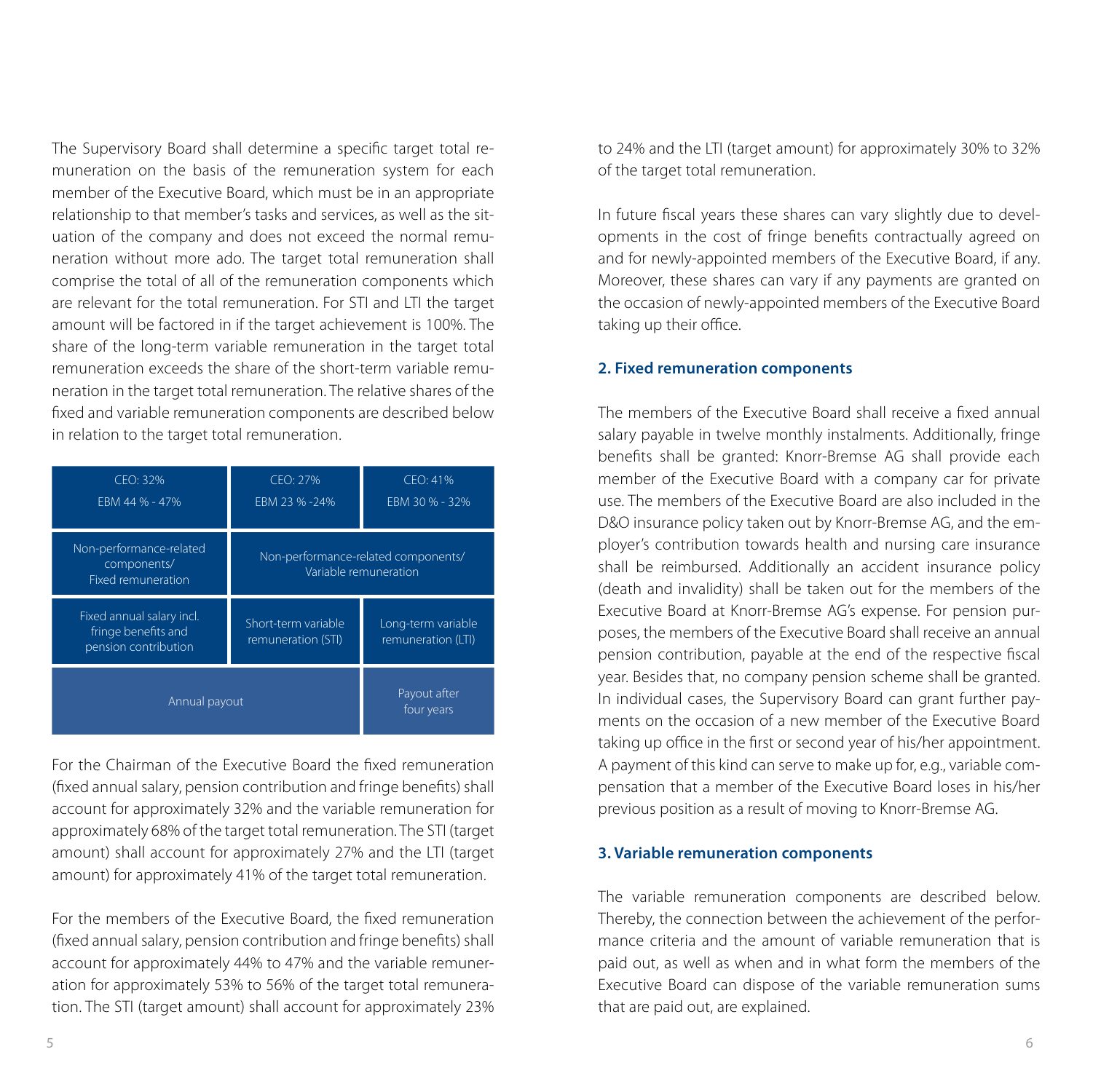The Supervisory Board shall determine a specific target total remuneration on the basis of the remuneration system for each member of the Executive Board, which must be in an appropriate relationship to that member's tasks and services, as well as the situation of the company and does not exceed the normal remuneration without more ado. The target total remuneration shall comprise the total of all of the remuneration components which are relevant for the total remuneration. For STI and LTI the target amount will be factored in if the target achievement is 100%. The share of the long-term variable remuneration in the target total remuneration exceeds the share of the short-term variable remuneration in the target total remuneration. The relative shares of the fixed and variable remuneration components are described below in relation to the target total remuneration.

| CFO: 32%<br>FBM 44 % - 47%                                               | CFO: 27%<br>EBM 23 % -24%                                    | CFO: 41%<br>EBM 30 % - 32%               |
|--------------------------------------------------------------------------|--------------------------------------------------------------|------------------------------------------|
| Non-performance-related<br>components/<br><b>Fixed remuneration</b>      | Non-performance-related components/<br>Variable remuneration |                                          |
| Fixed annual salary incl.<br>fringe benefits and<br>pension contribution | Short-term variable<br>remuneration (STI)                    | Long-term variable<br>remuneration (LTI) |
| Annual payout                                                            |                                                              | Payout after<br>four years               |

For the Chairman of the Executive Board the fixed remuneration (fixed annual salary, pension contribution and fringe benefits) shall account for approximately 32% and the variable remuneration for approximately 68% of the target total remuneration. The STI (target amount) shall account for approximately 27% and the LTI (target amount) for approximately 41% of the target total remuneration.

For the members of the Executive Board, the fixed remuneration (fixed annual salary, pension contribution and fringe benefits) shall account for approximately 44% to 47% and the variable remuneration for approximately 53% to 56% of the target total remuneration. The STI (target amount) shall account for approximately 23% to 24% and the LTI (target amount) for approximately 30% to 32% of the target total remuneration.

In future fiscal years these shares can vary slightly due to developments in the cost of fringe benefits contractually agreed on and for newly-appointed members of the Executive Board, if any. Moreover, these shares can vary if any payments are granted on the occasion of newly-appointed members of the Executive Board taking up their office.

#### **2. Fixed remuneration components**

The members of the Executive Board shall receive a fixed annual salary payable in twelve monthly instalments. Additionally, fringe benefits shall be granted: Knorr-Bremse AG shall provide each member of the Executive Board with a company car for private use. The members of the Executive Board are also included in the D&O insurance policy taken out by Knorr-Bremse AG, and the employer's contribution towards health and nursing care insurance shall be reimbursed. Additionally an accident insurance policy (death and invalidity) shall be taken out for the members of the Executive Board at Knorr-Bremse AG's expense. For pension purposes, the members of the Executive Board shall receive an annual pension contribution, payable at the end of the respective fiscal year. Besides that, no company pension scheme shall be granted. In individual cases, the Supervisory Board can grant further payments on the occasion of a new member of the Executive Board taking up office in the first or second year of his/her appointment. A payment of this kind can serve to make up for, e.g., variable compensation that a member of the Executive Board loses in his/her previous position as a result of moving to Knorr-Bremse AG.

#### **3. Variable remuneration components**

The variable remuneration components are described below. Thereby, the connection between the achievement of the performance criteria and the amount of variable remuneration that is paid out, as well as when and in what form the members of the Executive Board can dispose of the variable remuneration sums that are paid out, are explained.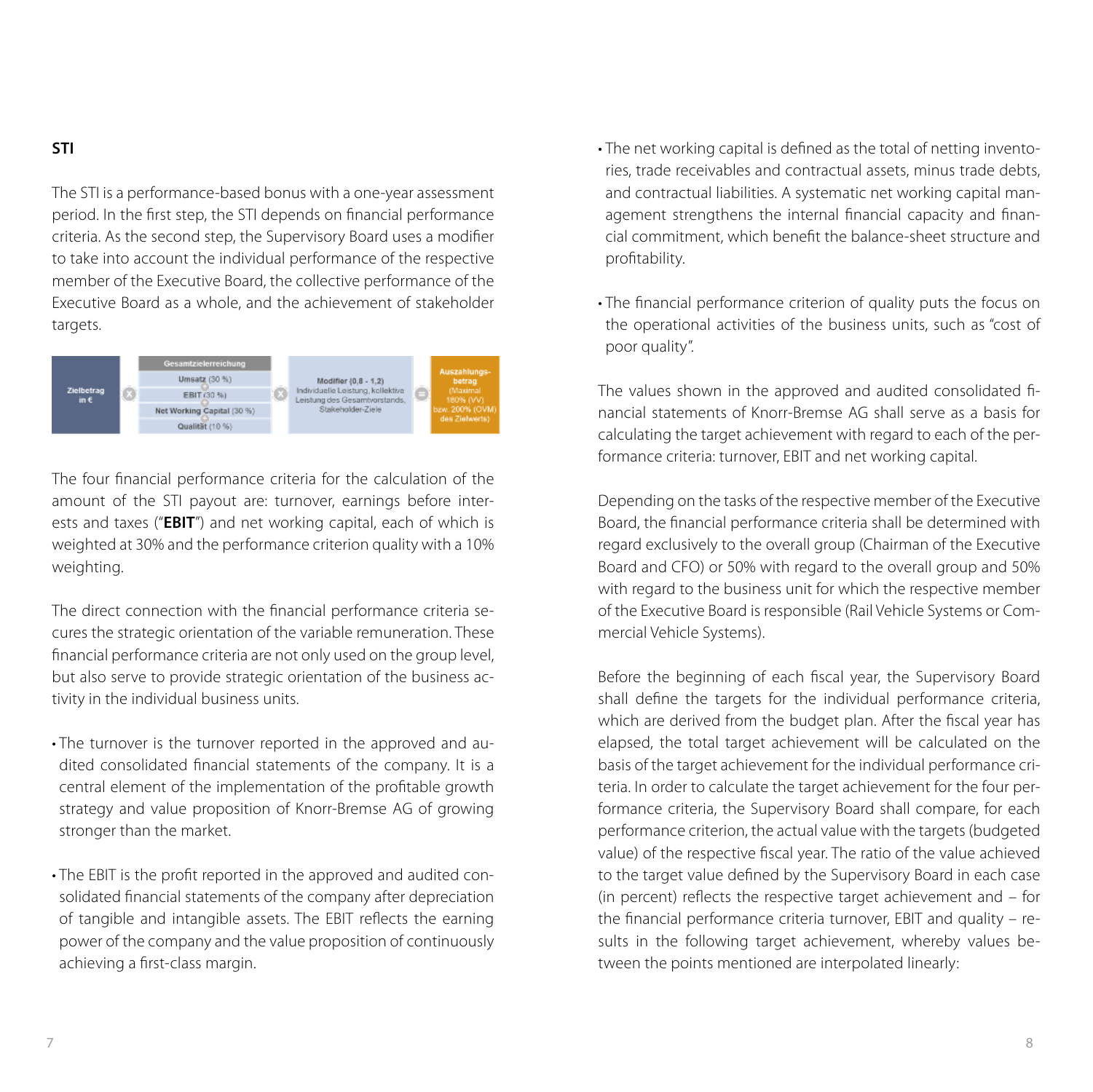#### **STI**

The STI is a performance-based bonus with a one-year assessment period. In the first step, the STI depends on financial performance criteria. As the second step, the Supervisory Board uses a modifier to take into account the individual performance of the respective member of the Executive Board, the collective performance of the Executive Board as a whole, and the achievement of stakeholder targets.



The four financial performance criteria for the calculation of the amount of the STI payout are: turnover, earnings before interests and taxes ("**EBIT**") and net working capital, each of which is weighted at 30% and the performance criterion quality with a 10% weighting.

The direct connection with the financial performance criteria secures the strategic orientation of the variable remuneration. These financial performance criteria are not only used on the group level, but also serve to provide strategic orientation of the business activity in the individual business units.

- The turnover is the turnover reported in the approved and audited consolidated financial statements of the company. It is a central element of the implementation of the profitable growth strategy and value proposition of Knorr-Bremse AG of growing stronger than the market.
- The EBIT is the profit reported in the approved and audited consolidated financial statements of the company after depreciation of tangible and intangible assets. The EBIT reflects the earning power of the company and the value proposition of continuously achieving a first-class margin.
- The net working capital is defined as the total of netting inventories, trade receivables and contractual assets, minus trade debts, and contractual liabilities. A systematic net working capital management strengthens the internal financial capacity and financial commitment, which benefit the balance-sheet structure and profitability.
- The financial performance criterion of quality puts the focus on the operational activities of the business units, such as "cost of poor quality".

The values shown in the approved and audited consolidated financial statements of Knorr-Bremse AG shall serve as a basis for calculating the target achievement with regard to each of the performance criteria: turnover, EBIT and net working capital.

Depending on the tasks of the respective member of the Executive Board, the financial performance criteria shall be determined with regard exclusively to the overall group (Chairman of the Executive Board and CFO) or 50% with regard to the overall group and 50% with regard to the business unit for which the respective member of the Executive Board is responsible (Rail Vehicle Systems or Commercial Vehicle Systems).

Before the beginning of each fiscal year, the Supervisory Board shall define the targets for the individual performance criteria, which are derived from the budget plan. After the fiscal year has elapsed, the total target achievement will be calculated on the basis of the target achievement for the individual performance criteria. In order to calculate the target achievement for the four performance criteria, the Supervisory Board shall compare, for each performance criterion, the actual value with the targets (budgeted value) of the respective fiscal year. The ratio of the value achieved to the target value defined by the Supervisory Board in each case (in percent) reflects the respective target achievement and – for the financial performance criteria turnover, EBIT and quality – results in the following target achievement, whereby values between the points mentioned are interpolated linearly: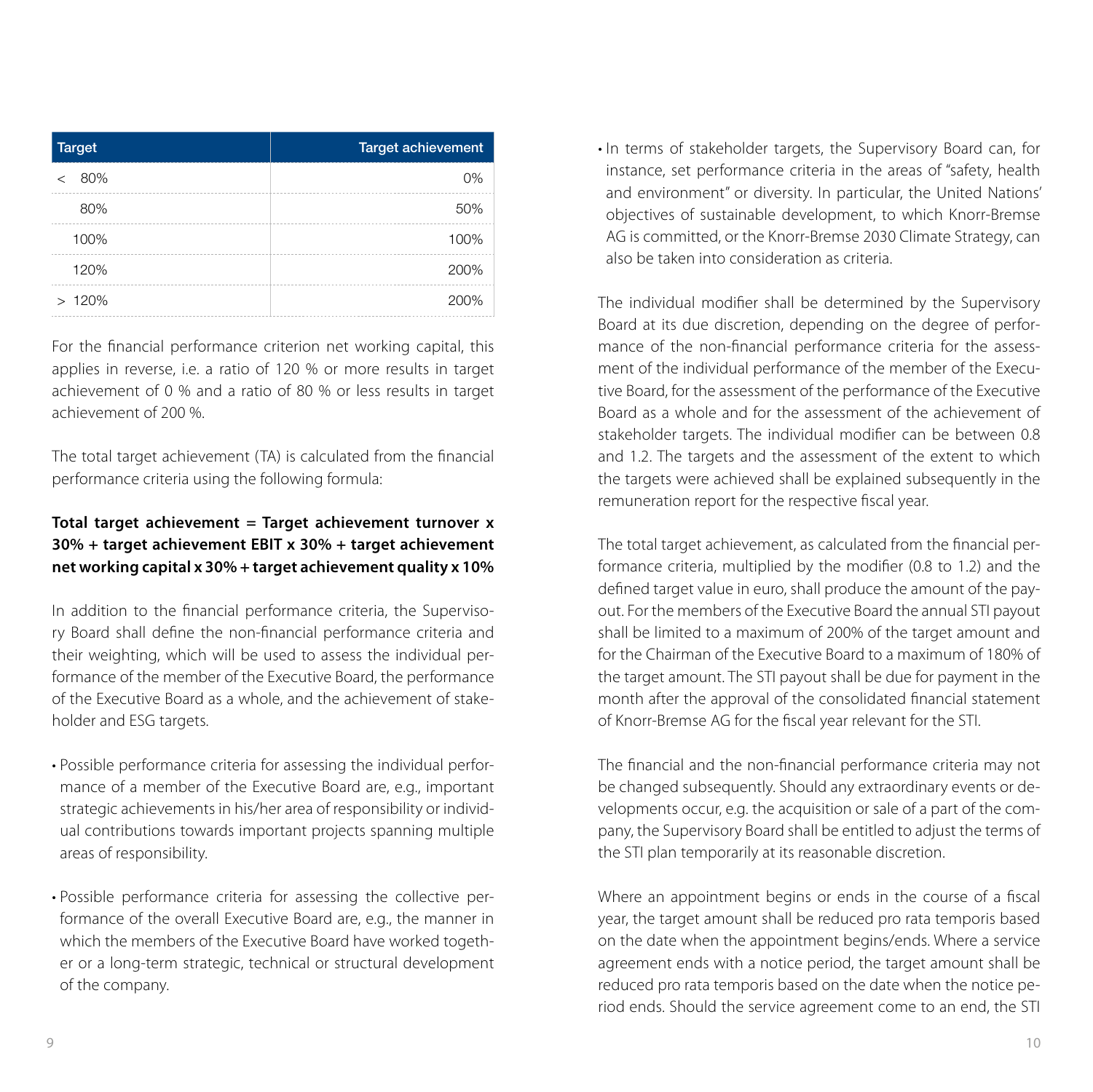| <b>Target</b>  | <b>Target achievement</b> |
|----------------|---------------------------|
| 80%<br>$\,<\,$ | 0%                        |
| 80%            | 50%                       |
| 100%           | 100%                      |
| 120%           | 200%                      |
| >120%          | 200%                      |

For the financial performance criterion net working capital, this applies in reverse, i.e. a ratio of 120 % or more results in target achievement of 0 % and a ratio of 80 % or less results in target achievement of 200 %.

The total target achievement (TA) is calculated from the financial performance criteria using the following formula:

### **Total target achievement = Target achievement turnover x 30% + target achievement EBIT x 30% + target achievement net working capital x 30% + target achievement quality x 10%**

In addition to the financial performance criteria, the Supervisory Board shall define the non-financial performance criteria and their weighting, which will be used to assess the individual performance of the member of the Executive Board, the performance of the Executive Board as a whole, and the achievement of stakeholder and ESG targets.

- Possible performance criteria for assessing the individual performance of a member of the Executive Board are, e.g., important strategic achievements in his/her area of responsibility or individual contributions towards important projects spanning multiple areas of responsibility.
- Possible performance criteria for assessing the collective performance of the overall Executive Board are, e.g., the manner in which the members of the Executive Board have worked together or a long-term strategic, technical or structural development of the company.

• In terms of stakeholder targets, the Supervisory Board can, for instance, set performance criteria in the areas of "safety, health and environment" or diversity. In particular, the United Nations' objectives of sustainable development, to which Knorr-Bremse AG is committed, or the Knorr-Bremse 2030 Climate Strategy, can also be taken into consideration as criteria.

The individual modifier shall be determined by the Supervisory Board at its due discretion, depending on the degree of performance of the non-financial performance criteria for the assessment of the individual performance of the member of the Executive Board, for the assessment of the performance of the Executive Board as a whole and for the assessment of the achievement of stakeholder targets. The individual modifier can be between 0.8 and 1.2. The targets and the assessment of the extent to which the targets were achieved shall be explained subsequently in the remuneration report for the respective fiscal year.

The total target achievement, as calculated from the financial performance criteria, multiplied by the modifier (0.8 to 1.2) and the defined target value in euro, shall produce the amount of the payout. For the members of the Executive Board the annual STI payout shall be limited to a maximum of 200% of the target amount and for the Chairman of the Executive Board to a maximum of 180% of the target amount. The STI payout shall be due for payment in the month after the approval of the consolidated financial statement of Knorr-Bremse AG for the fiscal year relevant for the STI.

The financial and the non-financial performance criteria may not be changed subsequently. Should any extraordinary events or developments occur, e.g. the acquisition or sale of a part of the company, the Supervisory Board shall be entitled to adjust the terms of the STI plan temporarily at its reasonable discretion.

Where an appointment begins or ends in the course of a fiscal year, the target amount shall be reduced pro rata temporis based on the date when the appointment begins/ends. Where a service agreement ends with a notice period, the target amount shall be reduced pro rata temporis based on the date when the notice period ends. Should the service agreement come to an end, the STI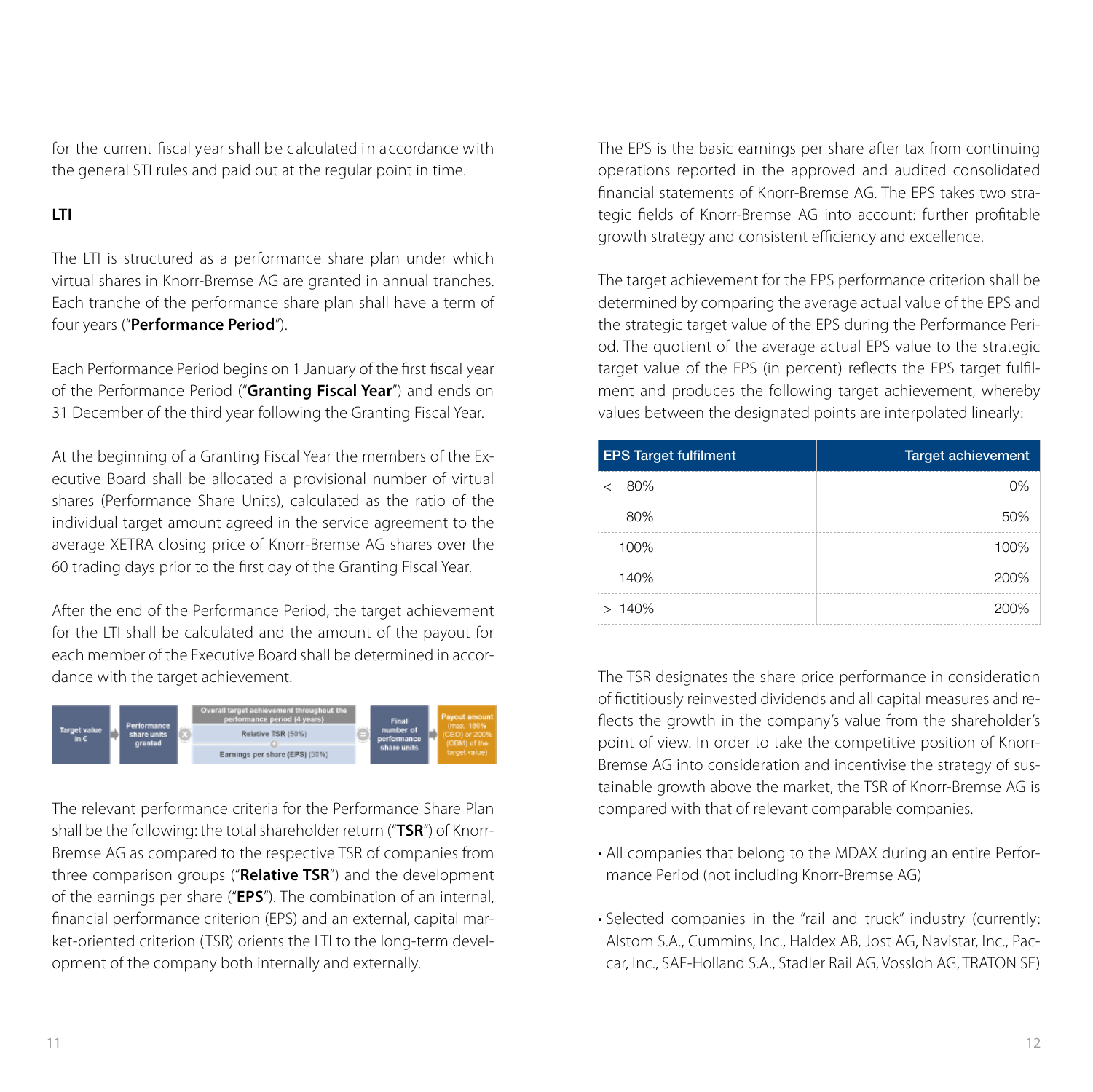for the current fiscal year shall be calculated in accordance with the general STI rules and paid out at the regular point in time.

#### **LTI**

The LTI is structured as a performance share plan under which virtual shares in Knorr-Bremse AG are granted in annual tranches. Each tranche of the performance share plan shall have a term of four years ("**Performance Period**").

Each Performance Period begins on 1 January of the first fiscal year of the Performance Period ("**Granting Fiscal Year**") and ends on 31 December of the third year following the Granting Fiscal Year.

At the beginning of a Granting Fiscal Year the members of the Executive Board shall be allocated a provisional number of virtual shares (Performance Share Units), calculated as the ratio of the individual target amount agreed in the service agreement to the average XETRA closing price of Knorr-Bremse AG shares over the 60 trading days prior to the first day of the Granting Fiscal Year.

After the end of the Performance Period, the target achievement for the LTI shall be calculated and the amount of the payout for each member of the Executive Board shall be determined in accordance with the target achievement.



The relevant performance criteria for the Performance Share Plan shall be the following: the total shareholder return ("**TSR**") of Knorr-Bremse AG as compared to the respective TSR of companies from three comparison groups ("**Relative TSR**") and the development of the earnings per share ("**EPS**"). The combination of an internal, financial performance criterion (EPS) and an external, capital market-oriented criterion (TSR) orients the LTI to the long-term development of the company both internally and externally.

The EPS is the basic earnings per share after tax from continuing operations reported in the approved and audited consolidated financial statements of Knorr-Bremse AG. The EPS takes two strategic fields of Knorr-Bremse AG into account: further profitable growth strategy and consistent efficiency and excellence.

The target achievement for the EPS performance criterion shall be determined by comparing the average actual value of the EPS and the strategic target value of the EPS during the Performance Period. The quotient of the average actual EPS value to the strategic target value of the EPS (in percent) reflects the EPS target fulfilment and produces the following target achievement, whereby values between the designated points are interpolated linearly:

| <b>EPS Target fulfilment</b> | <b>Target achievement</b> |
|------------------------------|---------------------------|
| 80%                          | 0%                        |
| 80%                          | 50%                       |
| 100%                         | 100%                      |
| 140%                         | 200%                      |
| >140%                        | 200%                      |

The TSR designates the share price performance in consideration of fictitiously reinvested dividends and all capital measures and reflects the growth in the company's value from the shareholder's point of view. In order to take the competitive position of Knorr-Bremse AG into consideration and incentivise the strategy of sustainable growth above the market, the TSR of Knorr-Bremse AG is compared with that of relevant comparable companies.

- All companies that belong to the MDAX during an entire Performance Period (not including Knorr-Bremse AG)
- Selected companies in the "rail and truck" industry (currently: Alstom S.A., Cummins, Inc., Haldex AB, Jost AG, Navistar, Inc., Paccar, Inc., SAF-Holland S.A., Stadler Rail AG, Vossloh AG, TRATON SE)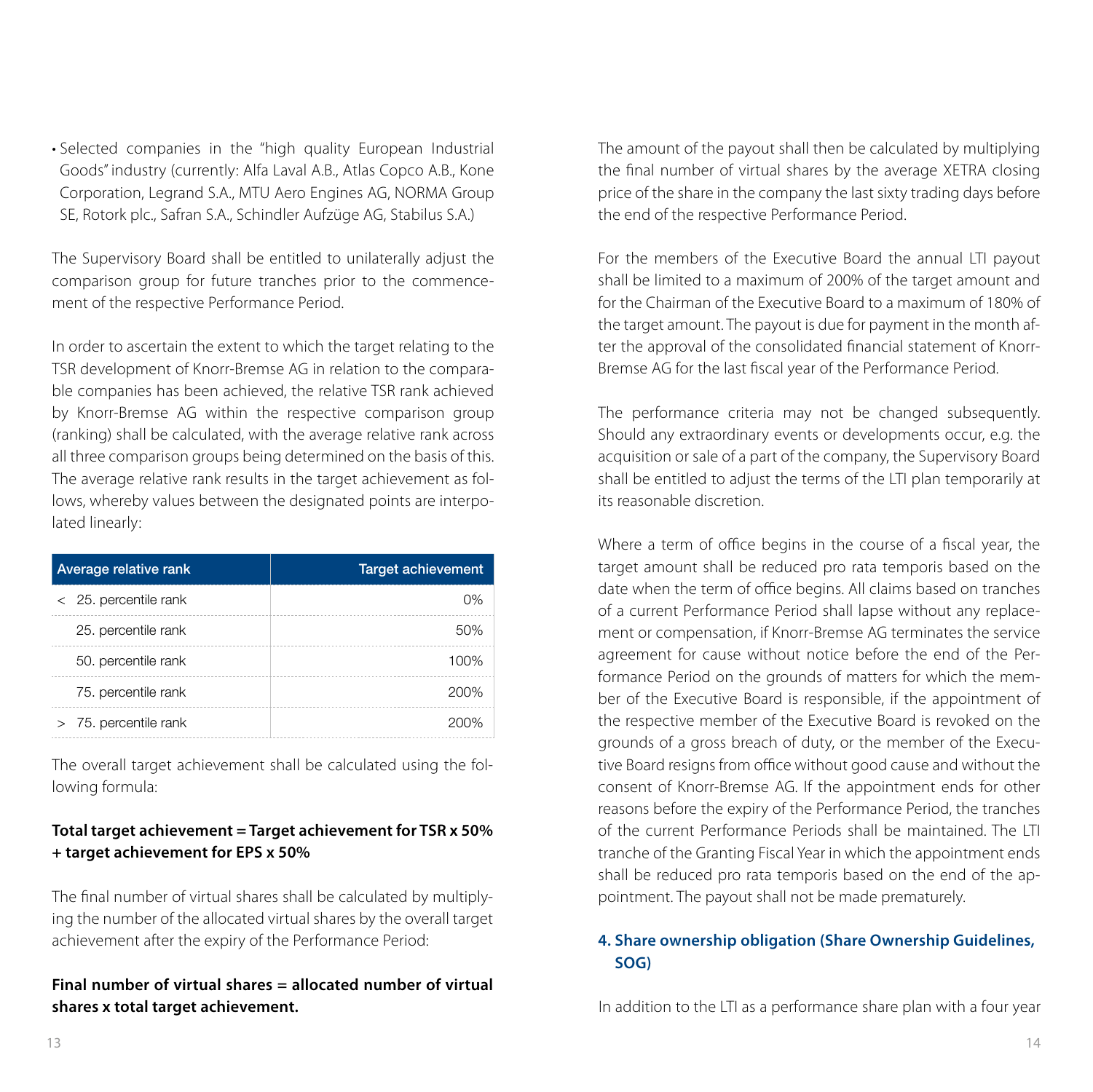• Selected companies in the "high quality European Industrial Goods" industry (currently: Alfa Laval A.B., Atlas Copco A.B., Kone Corporation, Legrand S.A., MTU Aero Engines AG, NORMA Group SE, Rotork plc., Safran S.A., Schindler Aufzüge AG, Stabilus S.A.)

The Supervisory Board shall be entitled to unilaterally adjust the comparison group for future tranches prior to the commencement of the respective Performance Period.

In order to ascertain the extent to which the target relating to the TSR development of Knorr-Bremse AG in relation to the comparable companies has been achieved, the relative TSR rank achieved by Knorr-Bremse AG within the respective comparison group (ranking) shall be calculated, with the average relative rank across all three comparison groups being determined on the basis of this. The average relative rank results in the target achievement as follows, whereby values between the designated points are interpolated linearly:

| Average relative rank   | <b>Target achievement</b> |
|-------------------------|---------------------------|
| $<$ 25. percentile rank | 0%                        |
| 25. percentile rank     | 50%                       |
| 50. percentile rank     | 100%                      |
| 75. percentile rank     | 200%                      |
| 75. percentile rank     | 200%                      |

The overall target achievement shall be calculated using the following formula:

#### **Total target achievement = Target achievement for TSR x 50% + target achievement for EPS x 50%**

The final number of virtual shares shall be calculated by multiplying the number of the allocated virtual shares by the overall target achievement after the expiry of the Performance Period:

**Final number of virtual shares = allocated number of virtual shares x total target achievement.**

The amount of the payout shall then be calculated by multiplying the final number of virtual shares by the average XETRA closing price of the share in the company the last sixty trading days before the end of the respective Performance Period.

For the members of the Executive Board the annual LTI payout shall be limited to a maximum of 200% of the target amount and for the Chairman of the Executive Board to a maximum of 180% of the target amount. The payout is due for payment in the month after the approval of the consolidated financial statement of Knorr-Bremse AG for the last fiscal year of the Performance Period.

The performance criteria may not be changed subsequently. Should any extraordinary events or developments occur, e.g. the acquisition or sale of a part of the company, the Supervisory Board shall be entitled to adjust the terms of the LTI plan temporarily at its reasonable discretion.

Where a term of office begins in the course of a fiscal year, the target amount shall be reduced pro rata temporis based on the date when the term of office begins. All claims based on tranches of a current Performance Period shall lapse without any replacement or compensation, if Knorr-Bremse AG terminates the service agreement for cause without notice before the end of the Performance Period on the grounds of matters for which the member of the Executive Board is responsible, if the appointment of the respective member of the Executive Board is revoked on the grounds of a gross breach of duty, or the member of the Executive Board resigns from office without good cause and without the consent of Knorr-Bremse AG. If the appointment ends for other reasons before the expiry of the Performance Period, the tranches of the current Performance Periods shall be maintained. The LTI tranche of the Granting Fiscal Year in which the appointment ends shall be reduced pro rata temporis based on the end of the appointment. The payout shall not be made prematurely.

#### **4. Share ownership obligation (Share Ownership Guidelines, SOG)**

In addition to the LTI as a performance share plan with a four year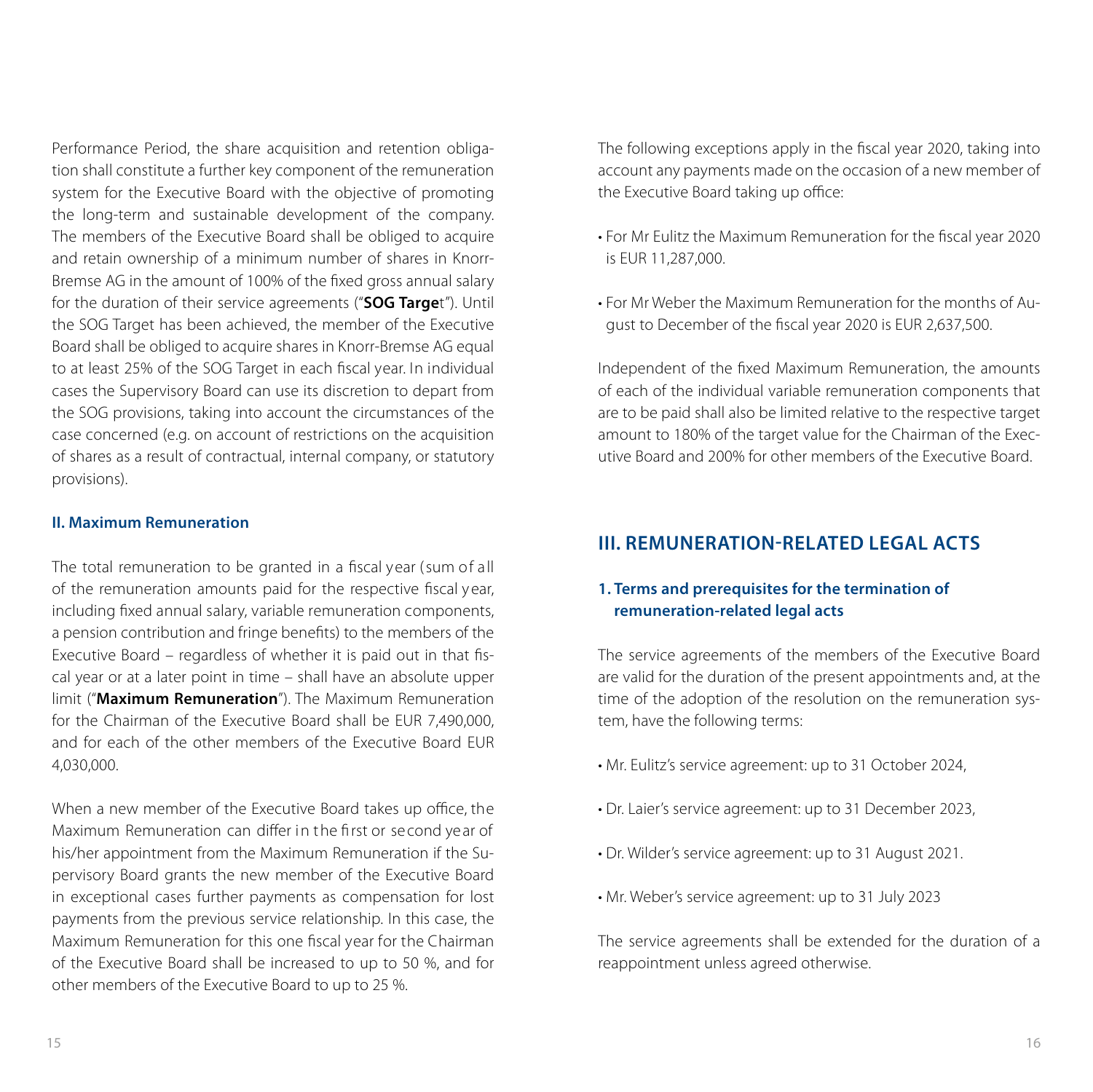Performance Period, the share acquisition and retention obligation shall constitute a further key component of the remuneration system for the Executive Board with the objective of promoting the long-term and sustainable development of the company. The members of the Executive Board shall be obliged to acquire and retain ownership of a minimum number of shares in Knorr-Bremse AG in the amount of 100% of the fixed gross annual salary for the duration of their service agreements ("**SOG Targe**t"). Until the SOG Target has been achieved, the member of the Executive Board shall be obliged to acquire shares in Knorr-Bremse AG equal to at least 25% of the SOG Target in each fiscal year. In individual cases the Supervisory Board can use its discretion to depart from the SOG provisions, taking into account the circumstances of the case concerned (e.g. on account of restrictions on the acquisition of shares as a result of contractual, internal company, or statutory provisions).

#### **II. Maximum Remuneration**

The total remuneration to be granted in a fiscal year (sum of all of the remuneration amounts paid for the respective fiscal y ear, including fixed annual salary, variable remuneration components, a pension contribution and fringe benefits) to the members of the Executive Board – regardless of whether it is paid out in that fiscal year or at a later point in time – shall have an absolute upper limit ("**Maximum Remuneration**"). The Maximum Remuneration for the Chairman of the Executive Board shall be EUR 7,490,000, and for each of the other members of the Executive Board EUR 4,030,000.

When a new member of the Executive Board takes up office, the Maximum Remuneration can differ in the first or second year of his/her appointment from the Maximum Remuneration if the Supervisory Board grants the new member of the Executive Board in exceptional cases further payments as compensation for lost payments from the previous service relationship. In this case, the Maximum Remuneration for this one fiscal year for the Chairman of the Executive Board shall be increased to up to 50 %, and for other members of the Executive Board to up to 25 %.

The following exceptions apply in the fiscal year 2020, taking into account any payments made on the occasion of a new member of the Executive Board taking up office:

- For Mr Eulitz the Maximum Remuneration for the fiscal year 2020 is EUR 11,287,000.
- For Mr Weber the Maximum Remuneration for the months of August to December of the fiscal year 2020 is EUR 2,637,500.

Independent of the fixed Maximum Remuneration, the amounts of each of the individual variable remuneration components that are to be paid shall also be limited relative to the respective target amount to 180% of the target value for the Chairman of the Executive Board and 200% for other members of the Executive Board.

# **III. REMUNERATION-RELATED LEGAL ACTS**

#### **1. Terms and prerequisites for the termination of remuneration-related legal acts**

The service agreements of the members of the Executive Board are valid for the duration of the present appointments and, at the time of the adoption of the resolution on the remuneration system, have the following terms:

- Mr. Eulitz's service agreement: up to 31 October 2024,
- Dr. Laier's service agreement: up to 31 December 2023,
- Dr. Wilder's service agreement: up to 31 August 2021.
- Mr. Weber's service agreement: up to 31 July 2023

The service agreements shall be extended for the duration of a reappointment unless agreed otherwise.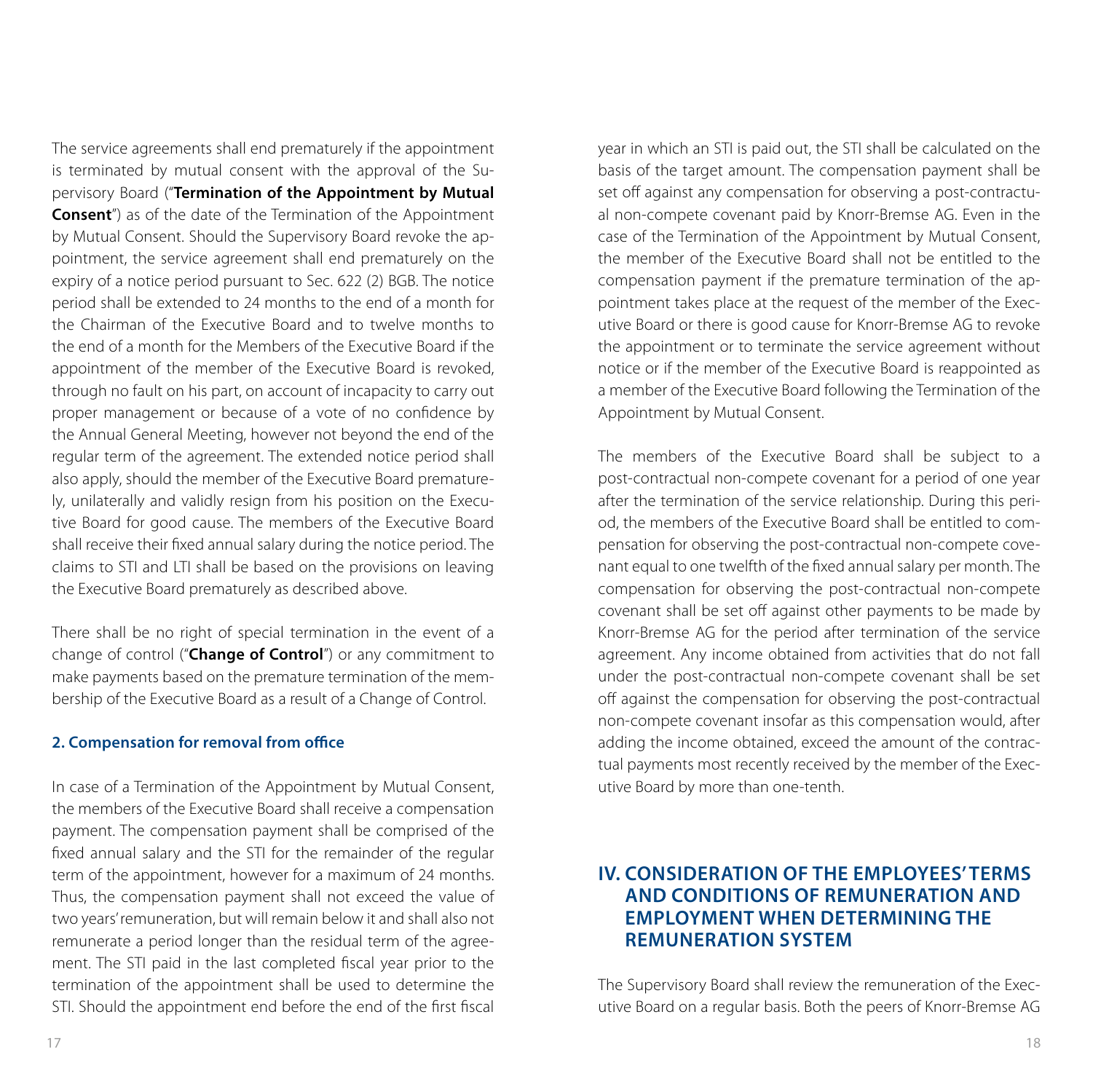The service agreements shall end prematurely if the appointment is terminated by mutual consent with the approval of the Supervisory Board ("**Termination of the Appointment by Mutual Consent**") as of the date of the Termination of the Appointment by Mutual Consent. Should the Supervisory Board revoke the appointment, the service agreement shall end prematurely on the expiry of a notice period pursuant to Sec. 622 (2) BGB. The notice period shall be extended to 24 months to the end of a month for the Chairman of the Executive Board and to twelve months to the end of a month for the Members of the Executive Board if the appointment of the member of the Executive Board is revoked, through no fault on his part, on account of incapacity to carry out proper management or because of a vote of no confidence by the Annual General Meeting, however not beyond the end of the regular term of the agreement. The extended notice period shall also apply, should the member of the Executive Board prematurely, unilaterally and validly resign from his position on the Executive Board for good cause. The members of the Executive Board shall receive their fixed annual salary during the notice period. The claims to STI and LTI shall be based on the provisions on leaving the Executive Board prematurely as described above.

There shall be no right of special termination in the event of a change of control ("**Change of Control**") or any commitment to make payments based on the premature termination of the membership of the Executive Board as a result of a Change of Control.

#### **2. Compensation for removal from office**

In case of a Termination of the Appointment by Mutual Consent, the members of the Executive Board shall receive a compensation payment. The compensation payment shall be comprised of the fixed annual salary and the STI for the remainder of the regular term of the appointment, however for a maximum of 24 months. Thus, the compensation payment shall not exceed the value of two years' remuneration, but will remain below it and shall also not remunerate a period longer than the residual term of the agreement. The STI paid in the last completed fiscal year prior to the termination of the appointment shall be used to determine the STI. Should the appointment end before the end of the first fiscal

year in which an STI is paid out, the STI shall be calculated on the basis of the target amount. The compensation payment shall be set off against any compensation for observing a post-contractual non-compete covenant paid by Knorr-Bremse AG. Even in the case of the Termination of the Appointment by Mutual Consent, the member of the Executive Board shall not be entitled to the compensation payment if the premature termination of the appointment takes place at the request of the member of the Executive Board or there is good cause for Knorr-Bremse AG to revoke the appointment or to terminate the service agreement without notice or if the member of the Executive Board is reappointed as a member of the Executive Board following the Termination of the Appointment by Mutual Consent.

The members of the Executive Board shall be subject to a post-contractual non-compete covenant for a period of one year after the termination of the service relationship. During this period, the members of the Executive Board shall be entitled to compensation for observing the post-contractual non-compete covenant equal to one twelfth of the fixed annual salary per month. The compensation for observing the post-contractual non-compete covenant shall be set off against other payments to be made by Knorr-Bremse AG for the period after termination of the service agreement. Any income obtained from activities that do not fall under the post-contractual non-compete covenant shall be set off against the compensation for observing the post-contractual non-compete covenant insofar as this compensation would, after adding the income obtained, exceed the amount of the contractual payments most recently received by the member of the Executive Board by more than one-tenth.

## **IV. CONSIDERATION OF THE EMPLOYEES' TERMS AND CONDITIONS OF REMUNERATION AND EMPLOYMENT WHEN DETERMINING THE REMUNERATION SYSTEM**

The Supervisory Board shall review the remuneration of the Executive Board on a regular basis. Both the peers of Knorr-Bremse AG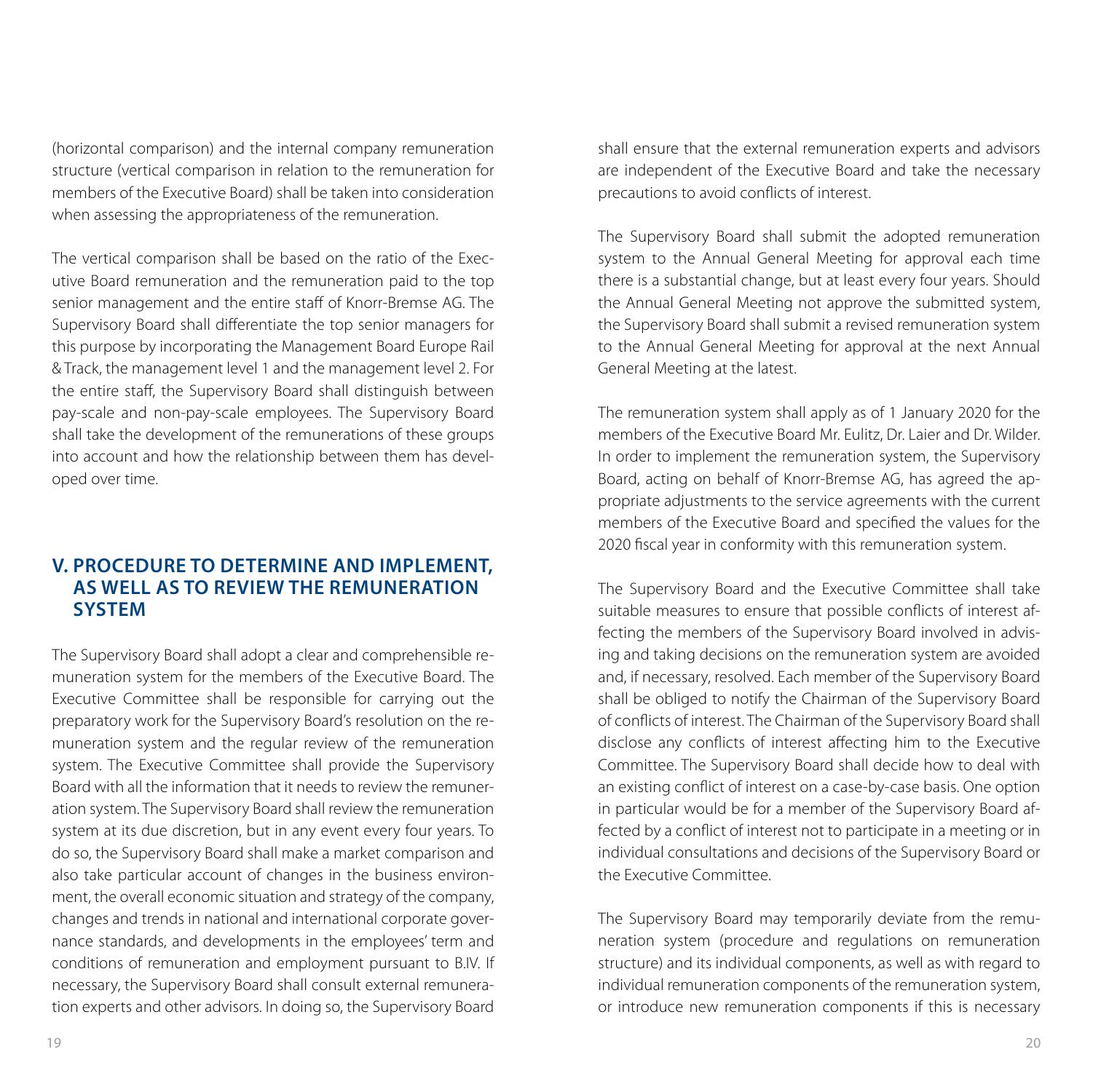(horizontal comparison) and the internal company remuneration structure (vertical comparison in relation to the remuneration for members of the Executive Board) shall be taken into consideration when assessing the appropriateness of the remuneration.

The vertical comparison shall be based on the ratio of the Executive Board remuneration and the remuneration paid to the top senior management and the entire staff of Knorr-Bremse AG. The Supervisory Board shall differentiate the top senior managers for this purpose by incorporating the Management Board Europe Rail & Track, the management level 1 and the management level 2. For the entire staff, the Supervisory Board shall distinguish between pay-scale and non-pay-scale employees. The Supervisory Board shall take the development of the remunerations of these groups into account and how the relationship between them has developed over time.

### **V. PROCEDURE TO DETERMINE AND IMPLEMENT, AS WELL AS TO REVIEW THE REMUNERATION SYSTEM**

The Supervisory Board shall adopt a clear and comprehensible remuneration system for the members of the Executive Board. The Executive Committee shall be responsible for carrying out the preparatory work for the Supervisory Board's resolution on the remuneration system and the regular review of the remuneration system. The Executive Committee shall provide the Supervisory Board with all the information that it needs to review the remuneration system. The Supervisory Board shall review the remuneration system at its due discretion, but in any event every four years. To do so, the Supervisory Board shall make a market comparison and also take particular account of changes in the business environment, the overall economic situation and strategy of the company, changes and trends in national and international corporate governance standards, and developments in the employees' term and conditions of remuneration and employment pursuant to B.IV. If necessary, the Supervisory Board shall consult external remuneration experts and other advisors. In doing so, the Supervisory Board

shall ensure that the external remuneration experts and advisors are independent of the Executive Board and take the necessary precautions to avoid conflicts of interest.

The Supervisory Board shall submit the adopted remuneration system to the Annual General Meeting for approval each time there is a substantial change, but at least every four years. Should the Annual General Meeting not approve the submitted system, the Supervisory Board shall submit a revised remuneration system to the Annual General Meeting for approval at the next Annual General Meeting at the latest.

The remuneration system shall apply as of 1 January 2020 for the members of the Executive Board Mr. Eulitz, Dr. Laier and Dr. Wilder. In order to implement the remuneration system, the Supervisory Board, acting on behalf of Knorr-Bremse AG, has agreed the appropriate adjustments to the service agreements with the current members of the Executive Board and specified the values for the 2020 fiscal year in conformity with this remuneration system.

The Supervisory Board and the Executive Committee shall take suitable measures to ensure that possible conflicts of interest affecting the members of the Supervisory Board involved in advising and taking decisions on the remuneration system are avoided and, if necessary, resolved. Each member of the Supervisory Board shall be obliged to notify the Chairman of the Supervisory Board of conflicts of interest. The Chairman of the Supervisory Board shall disclose any conflicts of interest affecting him to the Executive Committee. The Supervisory Board shall decide how to deal with an existing conflict of interest on a case-by-case basis. One option in particular would be for a member of the Supervisory Board affected by a conflict of interest not to participate in a meeting or in individual consultations and decisions of the Supervisory Board or the Executive Committee.

The Supervisory Board may temporarily deviate from the remuneration system (procedure and regulations on remuneration structure) and its individual components, as well as with regard to individual remuneration components of the remuneration system, or introduce new remuneration components if this is necessary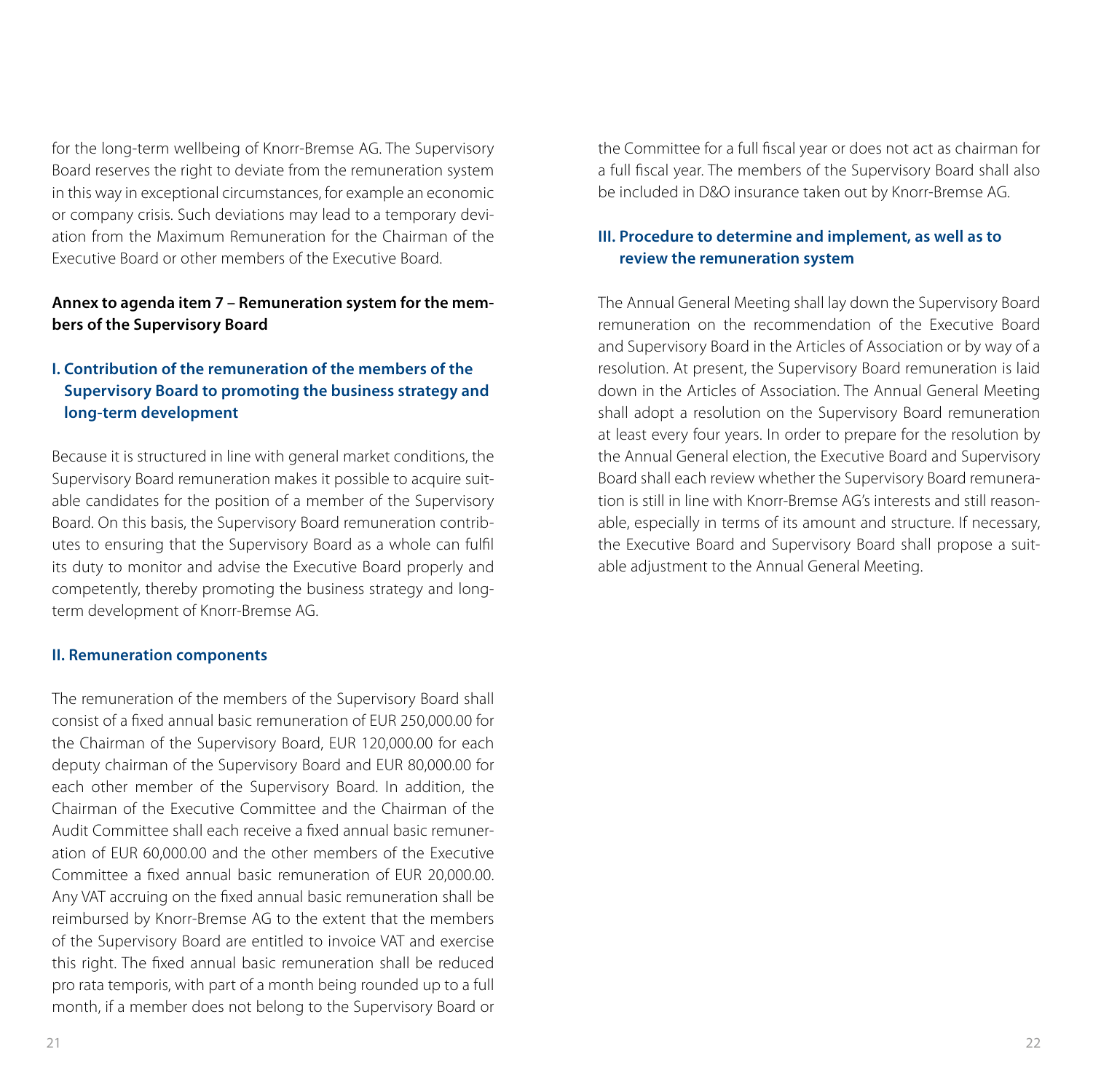for the long-term wellbeing of Knorr-Bremse AG. The Supervisory Board reserves the right to deviate from the remuneration system in this way in exceptional circumstances, for example an economic or company crisis. Such deviations may lead to a temporary deviation from the Maximum Remuneration for the Chairman of the Executive Board or other members of the Executive Board.

#### **Annex to agenda item 7 – Remuneration system for the members of the Supervisory Board**

#### **I. Contribution of the remuneration of the members of the Supervisory Board to promoting the business strategy and long-term development**

Because it is structured in line with general market conditions, the Supervisory Board remuneration makes it possible to acquire suitable candidates for the position of a member of the Supervisory Board. On this basis, the Supervisory Board remuneration contributes to ensuring that the Supervisory Board as a whole can fulfil its duty to monitor and advise the Executive Board properly and competently, thereby promoting the business strategy and longterm development of Knorr-Bremse AG.

#### **II. Remuneration components**

The remuneration of the members of the Supervisory Board shall consist of a fixed annual basic remuneration of EUR 250,000.00 for the Chairman of the Supervisory Board, EUR 120,000.00 for each deputy chairman of the Supervisory Board and EUR 80,000.00 for each other member of the Supervisory Board. In addition, the Chairman of the Executive Committee and the Chairman of the Audit Committee shall each receive a fixed annual basic remuneration of EUR 60,000.00 and the other members of the Executive Committee a fixed annual basic remuneration of EUR 20,000.00. Any VAT accruing on the fixed annual basic remuneration shall be reimbursed by Knorr-Bremse AG to the extent that the members of the Supervisory Board are entitled to invoice VAT and exercise this right. The fixed annual basic remuneration shall be reduced pro rata temporis, with part of a month being rounded up to a full month, if a member does not belong to the Supervisory Board or

the Committee for a full fiscal year or does not act as chairman for a full fiscal year. The members of the Supervisory Board shall also be included in D&O insurance taken out by Knorr-Bremse AG.

#### **III. Procedure to determine and implement, as well as to review the remuneration system**

The Annual General Meeting shall lay down the Supervisory Board remuneration on the recommendation of the Executive Board and Supervisory Board in the Articles of Association or by way of a resolution. At present, the Supervisory Board remuneration is laid down in the Articles of Association. The Annual General Meeting shall adopt a resolution on the Supervisory Board remuneration at least every four years. In order to prepare for the resolution by the Annual General election, the Executive Board and Supervisory Board shall each review whether the Supervisory Board remuneration is still in line with Knorr-Bremse AG's interests and still reasonable, especially in terms of its amount and structure. If necessary, the Executive Board and Supervisory Board shall propose a suitable adjustment to the Annual General Meeting.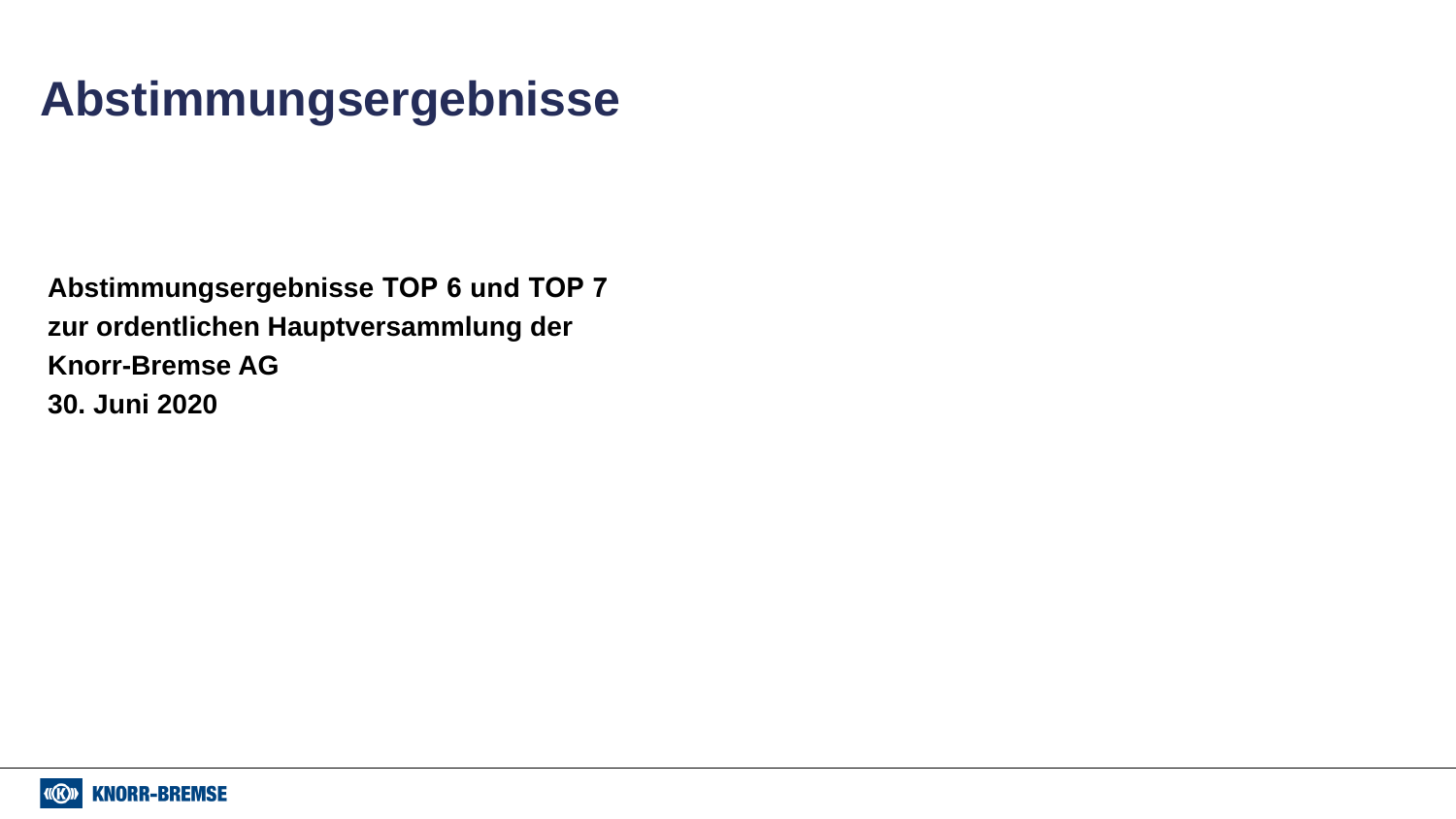# **Abstimmungsergebnisse**

**Abstimmungsergebnisse TOP 6 und TOP 7 zur ordentlichen Hauptversammlung der Knorr-Bremse AG 30. Juni 2020**

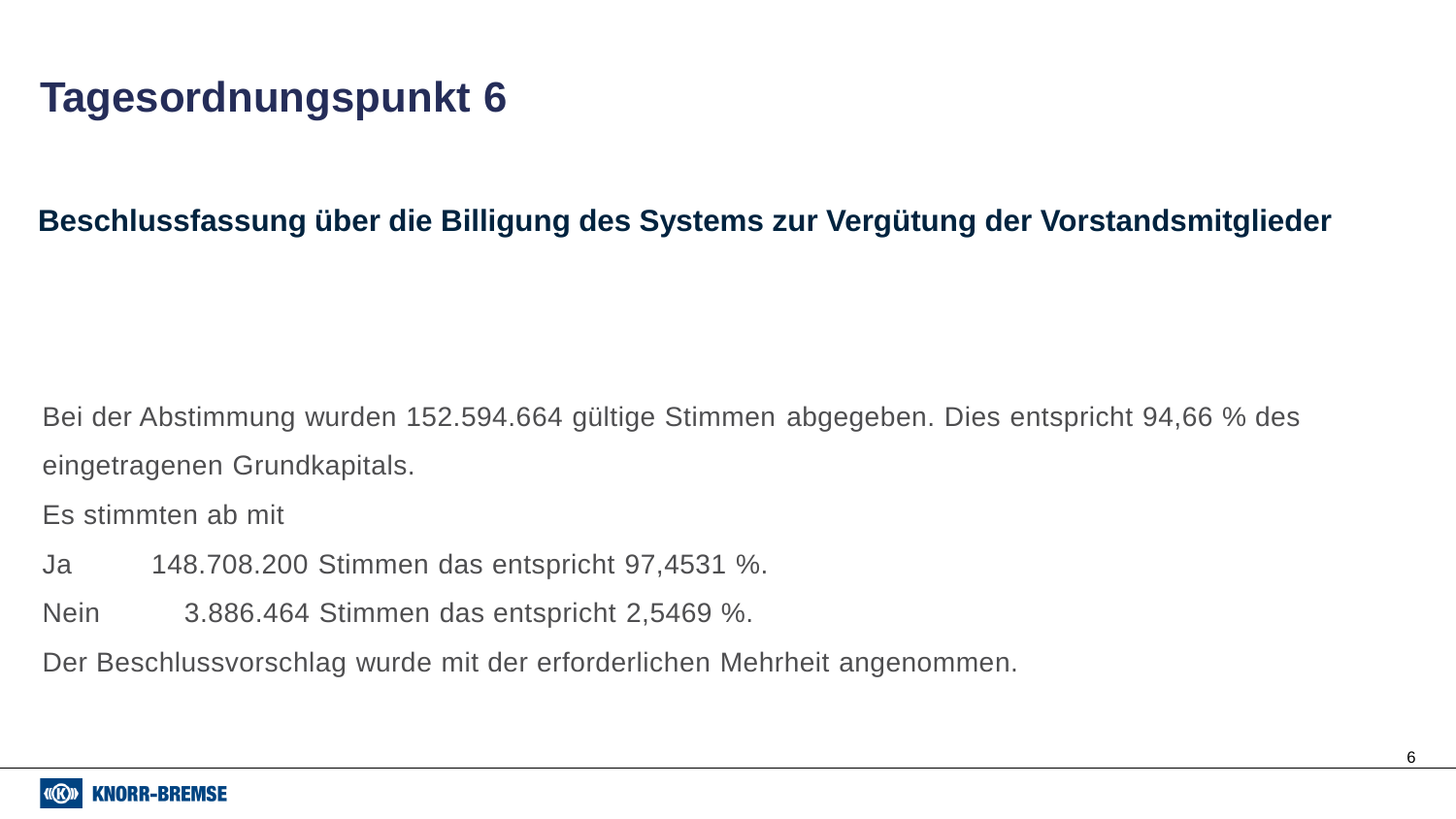# **Tagesordnungspunkt 6**

# **Beschlussfassung über die Billigung des Systems zur Vergütung der Vorstandsmitglieder**

Bei der Abstimmung wurden 152.594.664 gültige Stimmen abgegeben. Dies entspricht 94,66 % des eingetragenen Grundkapitals.

Es stimmten ab mit

- Ja 148.708.200 Stimmen das entspricht 97,4531 %.
- Nein 3.886.464 Stimmen das entspricht 2,5469 %.

Der Beschlussvorschlag wurde mit der erforderlichen Mehrheit angenommen.